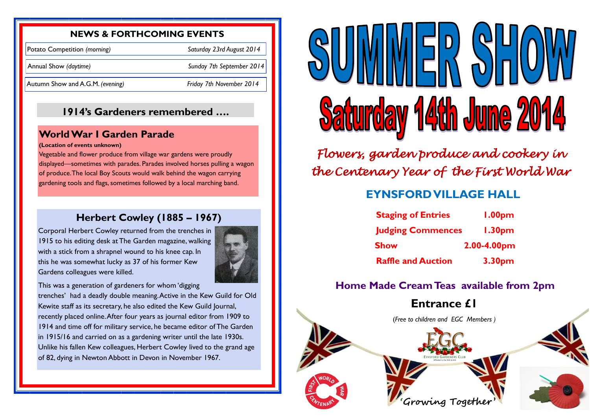### **NEWS & FORTHCOMING EVENTS**

Potato Competition *(morning) Saturday 23rd August 2014*

Annual Show *(daytime) Sunday 7th September 2014* 

Autumn Show and A.G.M. *(evening) Friday 7th November 2014*

## **Herbert Cowley (1885 – 1967)**

Corporal Herbert Cowley returned from the trenches in 1915 to his editing desk at The Garden magazine, walking with a stick from a shrapnel wound to his knee cap. In this he was somewhat lucky as 37 of his former Kew Gardens colleagues were killed.



This was a generation of gardeners for whom 'digging trenches' had a deadly double meaning. Active in the Kew Guild for Old Kewite staff as its secretary, he also edited the Kew Guild Journal, recently placed online. After four years as journal editor from 1909 to 1914 and time off for military service, he became editor of The Garden in 1915/16 and carried on as a gardening writer until the late 1930s. Unlike his fallen Kew colleagues, Herbert Cowley lived to the grand age of 82, dying in Newton Abbott in Devon in November 1967.



## **World War I Garden Parade**

### **(Location of events unknown)**

Vegetable and flower produce from village war gardens were proudly displayed—sometimes with parades. Parades involved horses pulling a wagon of produce. The local Boy Scouts would walk behind the wagon carrying gardening tools and flags, sometimes followed by a local marching band.

## **1914's Gardeners remembered ….**

## **Home Made Cream Teas available from 2pm**

**Entrance £1** 

(*Free to children and EGC Members )*



| S           | <b>1.00pm</b>      |
|-------------|--------------------|
| <b>nces</b> | 1.30 <sub>pm</sub> |
| 2.00-4.00pm |                    |
| n           | 3.30pm             |

# **EYNSFORD VILLAGE HALL**

- **Staging of Entries**
- **Judging Commer**
- **Show**
- **Raffle and Auction**

*Flowers, garden produce and cookery in the Centenary Year of the First World War*